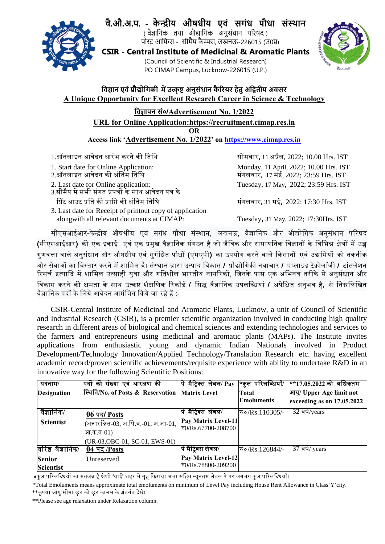

# **वै.औ.अ.प. ‐ केȾीय औषधीय एवं सगंध पौधा सं̾थान**

( वैज्ञानिक तथा औद्यागिक अनुसंधान परिषद) ्र सुद्धानम् ।<br>पोस्ट आफिस - सीमैप कैम्पस, लखनऊ-226015 (उ0प्र)

**CSIR ‐ Central Institute of Medicinal & Aromatic Plants**  (Council of Scientific & Industrial Research) PO CIMAP Campus, Lucknow‐226015 (U.P.)



## <u>विज्ञान एवं प्रौद्योगिकी में उत्कृष्ट अनुसंधान कैरियर हेतु अद्वितीय अवसर</u> **A Unique Opportunity for Excellent Research Career in Science & Technology**

## **िवǒापन सं०/Advertisement No. 1/2022**

**URL for Online Application:https://recruitment.cimap.res.in** 

**OR** 

**Access link 'Advertisement No. 1/2022' on https://www.cimap.res.in**

- 1.ऑनलाइन आवेदन आरंभ करने की ितिथ सोमवार**,** 11 अपर्ैल**,** 2022; 10.00 Hrs. IST
- 
- 
- 
- 3.सीमैप में सभी संगत प्रपत्रों के साथ आवेदन पत्र के िपर्ट आउट पर्ित की पर्ाि᳙ की अंितम ितिथ मंगलवार**,** 31 मई**,** 2022; 17:30 Hrs. IST
- 3. Last date for Receipt of printout copy of application alongwith all relevant documents at CIMAP: Tuesday**,** 31 May, 2022; 17:30Hrs. IST

 1. Start date for Online Application: Monday, 11 April, 2022; 10.00 Hrs. IST 2.ऑनलाइन आवेदन की अंितम ितिथ मंगलवार**,** 17 मई, 2022; 23:59 Hrs. IST 2. Last date for Online application: Tuesday, 17 May**,** 2022; 23:59 Hrs. IST

सीएसआईआर**-**केन्दर्ीय औषधीय एवं सगंध पौधा संस्थान, लखनऊ, वैज्ञािनक और औ᳒ोिगक अनुसंधान पिरषद (सीएसआईआर) की एक इकाई एवं एक प्रमुख वैज्ञानिक संगठन है जो जैविक और रासायनिक विज्ञानों के विभिन्न क्षेत्रों में उच्च गुणवᱫा वाले अनुसंधान और औषधीय एवं सुगंिधत पौधᲂ **(**एमएपी**)** का उपयोग करने वाले िकसानᲂ एवं उ᳒िमयᲂ को तकनीक और सेवाओं का विस्तार करने में शामिल है। संस्थान द्वारा उत्पाद विकास **/ प्रौद्योगिकी नवाचार / एप्लाइड टेक्नोलॉजी** / टांसलेशन रिसर्च इत्यादि में शामिल उत्साही युवा और गतिशील भारतीय नागरिकों, जिनके पास एक अभिनव तरीके से अनुसंधान और िवकास करने की क्षमता के साथ उत्कृ᳥ शैक्षिणक िरकॉडर् **/** िस वैज्ञािनक उपलिब्धयां **/** अपेिक्षत अनुभव ह**,** ै से िन᳜िलिखत वैज्ञानिक पदों के लिये आवेदन आमंत्रित किये जा रहे हैं :-

CSIR-Central Institute of Medicinal and Aromatic Plants, Lucknow, a unit of Council of Scientific and Industrial Research (CSIR), is a premier scientific organization involved in conducting high quality research in different areas of biological and chemical sciences and extending technologies and services to the farmers and entrepreneurs using medicinal and aromatic plants (MAPs). The Institute invites applications from enthusiastic young and dynamic Indian Nationals involved in Product Development/Technology Innovation/Applied Technology/Translation Research etc. having excellent academic record/proven scientific achievements/requisite experience with ability to undertake R&D in an innovative way for the following Scientific Positions:

| पदनाम/             | पिदों की संख्या एवं आरक्षण की       | पे मैट्रिक्स लेवल/ Pay    | ∤∗कुल परिलब्धियाँ/                          | $ **17.05.2022$ को अधिकतम    |
|--------------------|-------------------------------------|---------------------------|---------------------------------------------|------------------------------|
| <b>Designation</b> | स्थिति/No. of Posts & Reservation   | <b>Matrix Level</b>       | Total                                       | आयू/ Upper Age limit not     |
|                    |                                     |                           | <b>Emoluments</b>                           | exceeding as on $17.05.2022$ |
| वैज्ञानिक/         | 06 पद/ Posts                        | <u>पे मैट्रिक्स</u> लेवल/ | $\overline{\mathcal{R}} \circ$ /Rs.110305/- | 32 वर्ष/years                |
| <b>Scientist</b>   | (अनारक्षित-03, अ.पि.व.-01, अ.जा-01, | Pay Matrix Level-11       |                                             |                              |
|                    | आ.क.व- $01$ )                       | रु0/Rs.67700-208700       |                                             |                              |
|                    | (UR-03, OBC-01, SC-01, EWS-01)      |                           |                                             |                              |
| वरिष्ठ वैज्ञानिक/  | $04$ पद /Posts                      | पे मैट्रिक्स लेवल/        | ক৹/Rs.126844/-                              | $37$ वर्ष/ years             |
| <b>Senior</b>      | Unreserved                          | Pay Matrix Level-12       |                                             |                              |
| <b>Scientist</b>   |                                     | হ0/Rs.78800-209200        |                                             |                              |

 $\,$  **∗**कुल परिलब्धियों का मतलब है श्रेणी 'वाई' शहर में गृह किराया भत्ता सहित न्यूनतम लेवल पे पर लगभग कुल परिलब्धियाँ।

\*Total Emoluments means approximate total emoluments on minimum of Level Pay including House Rent Allowance in Class'Y'city.

 $^{**}$ कृपया आयु सीमा छूट को छूट कालम के अंतर्गत देखें।

\*\*Please see age relaxation under Relaxation column.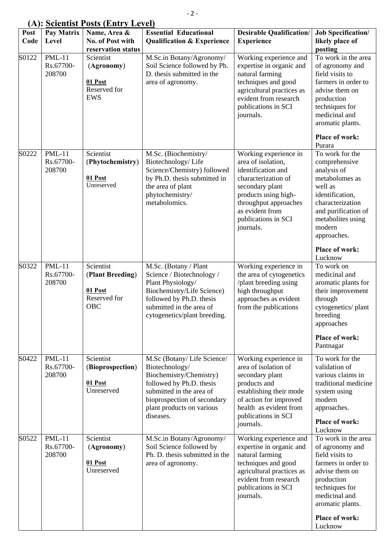## **(A): Scientist Posts (Entry Level)**

| $(1 - 1)$<br>Post<br>Code | Pay Matrix<br>Level                  | Name, Area &<br>No. of Post with                                                       | <b>Essential Educational</b><br><b>Qualification &amp; Experience</b>                                                                                                                                    | <b>Desirable Qualification/</b><br><b>Experience</b>                                                                                                                                                                | <b>Job Specification/</b><br>likely place of                                                                                                                                                                                |
|---------------------------|--------------------------------------|----------------------------------------------------------------------------------------|----------------------------------------------------------------------------------------------------------------------------------------------------------------------------------------------------------|---------------------------------------------------------------------------------------------------------------------------------------------------------------------------------------------------------------------|-----------------------------------------------------------------------------------------------------------------------------------------------------------------------------------------------------------------------------|
| S0122                     | <b>PML-11</b><br>Rs.67700-<br>208700 | reservation status<br>Scientist<br>(Agronomy)<br>01 Post<br>Reserved for<br><b>EWS</b> | M.Sc.in Botany/Agronomy/<br>Soil Science followed by Ph.<br>D. thesis submitted in the<br>area of agronomy.                                                                                              | Working experience and<br>expertise in organic and<br>natural farming<br>techniques and good<br>agricultural practices as<br>evident from research<br>publications in SCI<br>journals.                              | posting<br>To work in the area<br>of agronomy and<br>field visits to<br>farmers in order to<br>advise them on<br>production<br>techniques for<br>medicinal and<br>aromatic plants.<br>Place of work:                        |
| S0222                     | <b>PML-11</b><br>Rs.67700-<br>208700 | Scientist<br>(Phytochemistry)<br>01 Post<br>Unreserved                                 | M.Sc. (Biochemistry/<br>Biotechnology/Life<br>Science/Chemistry) followed<br>by Ph.D. thesis submitted in<br>the area of plant<br>phytochemistry/<br>metabolomics.                                       | Working experience in<br>area of isolation,<br>identification and<br>characterization of<br>secondary plant<br>products using high-<br>throughput approaches<br>as evident from<br>publications in SCI<br>journals. | Purara<br>To work for the<br>comprehensive<br>analysis of<br>metabolomes as<br>well as<br>identification,<br>characterization<br>and purification of<br>metabolites using<br>modern<br>approaches.<br><b>Place of work:</b> |
| S0322                     | <b>PML-11</b><br>Rs.67700-<br>208700 | Scientist<br>(Plant Breeding)<br>01 Post<br>Reserved for<br>OBC                        | M.Sc. (Botany / Plant<br>Science / Biotechnology /<br>Plant Physiology/<br>Biochemistry/Life Science)<br>followed by Ph.D. thesis<br>submitted in the area of<br>cytogenetics/plant breeding.            | Working experience in<br>the area of cytogenetics<br>/plant breeding using<br>high throughput<br>approaches as evident<br>from the publications                                                                     | Lucknow<br>To work on<br>medicinal and<br>aromatic plants for<br>their improvement<br>through<br>cytogenetics/plant<br>breeding<br>approaches<br><b>Place of work:</b><br>Pantnagar                                         |
| S0422                     | $PML-11$<br>Rs.67700-<br>208700      | Scientist<br>(Bioprospection)<br>01 Post<br>Unreserved                                 | M.Sc (Botany/Life Science/<br>Biotechnology/<br>Biochemistry/Chemistry)<br>followed by Ph.D. thesis<br>submitted in the area of<br>bioprospection of secondary<br>plant products on various<br>diseases. | Working experience in<br>area of isolation of<br>secondary plant<br>products and<br>establishing their mode<br>of action for improved<br>health as evident from<br>publications in SCI<br>journals.                 | To work for the<br>validation of<br>various claims in<br>traditional medicine<br>system using<br>modern<br>approaches.<br><b>Place of work:</b><br>Lucknow                                                                  |
| S0522                     | $PML-11$<br>Rs.67700-<br>208700      | Scientist<br>(Agronomy)<br>01 Post<br>Unreserved                                       | M.Sc.in Botany/Agronomy/<br>Soil Science followed by<br>Ph. D. thesis submitted in the<br>area of agronomy.                                                                                              | Working experience and<br>expertise in organic and<br>natural farming<br>techniques and good<br>agricultural practices as<br>evident from research<br>publications in SCI<br>journals.                              | To work in the area<br>of agronomy and<br>field visits to<br>farmers in order to<br>advise them on<br>production<br>techniques for<br>medicinal and<br>aromatic plants.<br><b>Place of work:</b><br>Lucknow                 |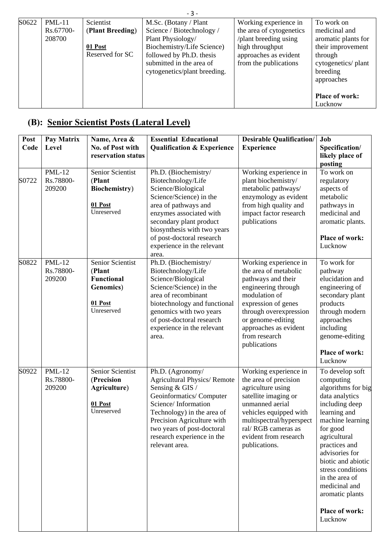| $-3-$ |                                 |                                                             |                                                                                                                                                                                               |                                                                                                                                                 |                                                                                                                                                                        |
|-------|---------------------------------|-------------------------------------------------------------|-----------------------------------------------------------------------------------------------------------------------------------------------------------------------------------------------|-------------------------------------------------------------------------------------------------------------------------------------------------|------------------------------------------------------------------------------------------------------------------------------------------------------------------------|
| S0622 | $PML-11$<br>Rs.67700-<br>208700 | Scientist<br>(Plant Breeding)<br>01 Post<br>Reserved for SC | M.Sc. (Botany / Plant<br>Science / Biotechnology /<br>Plant Physiology/<br>Biochemistry/Life Science)<br>followed by Ph.D. thesis<br>submitted in the area of<br>cytogenetics/plant breeding. | Working experience in<br>the area of cytogenetics<br>/plant breeding using<br>high throughput<br>approaches as evident<br>from the publications | To work on<br>medicinal and<br>aromatic plants for<br>their improvement<br>through<br>cytogenetics/plant<br>breeding<br>approaches<br><b>Place of work:</b><br>Lucknow |

# **(B): Senior Scientist Posts (Lateral Level)**

| Post<br>Code | Pay Matrix<br>Level                  | Name, Area &<br>No. of Post with<br>reservation status                                        | <b>Essential Educational</b><br><b>Qualification &amp; Experience</b>                                                                                                                                                                                                        | <b>Desirable Qualification/</b><br><b>Experience</b>                                                                                                                                                                                         | Job<br>Specification/<br>likely place of<br>posting                                                                                                                                                                                                                                                                            |
|--------------|--------------------------------------|-----------------------------------------------------------------------------------------------|------------------------------------------------------------------------------------------------------------------------------------------------------------------------------------------------------------------------------------------------------------------------------|----------------------------------------------------------------------------------------------------------------------------------------------------------------------------------------------------------------------------------------------|--------------------------------------------------------------------------------------------------------------------------------------------------------------------------------------------------------------------------------------------------------------------------------------------------------------------------------|
| S0722        | <b>PML-12</b><br>Rs.78800-<br>209200 | Senior Scientist<br>(Plant<br><b>Biochemistry</b> )<br>01 Post<br>Unreserved                  | Ph.D. (Biochemistry/<br>Biotechnology/Life<br>Science/Biological<br>Science/Science) in the<br>area of pathways and<br>enzymes associated with<br>secondary plant product<br>biosynthesis with two years<br>of post-doctoral research<br>experience in the relevant<br>area. | Working experience in<br>plant biochemistry/<br>metabolic pathways/<br>enzymology as evident<br>from high quality and<br>impact factor research<br>publications                                                                              | To work on<br>regulatory<br>aspects of<br>metabolic<br>pathways in<br>medicinal and<br>aromatic plants.<br><b>Place of work:</b><br>Lucknow                                                                                                                                                                                    |
| S0822        | <b>PML-12</b><br>Rs.78800-<br>209200 | Senior Scientist<br>(Plant<br><b>Functional</b><br><b>Genomics</b> )<br>01 Post<br>Unreserved | Ph.D. (Biochemistry/<br>Biotechnology/Life<br>Science/Biological<br>Science/Science) in the<br>area of recombinant<br>biotechnology and functional<br>genomics with two years<br>of post-doctoral research<br>experience in the relevant<br>area.                            | Working experience in<br>the area of metabolic<br>pathways and their<br>engineering through<br>modulation of<br>expression of genes<br>through overexpression<br>or genome-editing<br>approaches as evident<br>from research<br>publications | To work for<br>pathway<br>elucidation and<br>engineering of<br>secondary plant<br>products<br>through modern<br>approaches<br>including<br>genome-editing<br><b>Place of work:</b><br>Lucknow                                                                                                                                  |
| S0922        | <b>PML-12</b><br>Rs.78800-<br>209200 | Senior Scientist<br>(Precision<br>Agriculture)<br>01 Post<br>Unreserved                       | Ph.D. (Agronomy/<br><b>Agricultural Physics/Remote</b><br>Sensing & GIS /<br>Geoinformatics/Computer<br>Science/Information<br>Technology) in the area of<br>Precision Agriculture with<br>two years of post-doctoral<br>research experience in the<br>relevant area.        | Working experience in<br>the area of precision<br>agriculture using<br>satellite imaging or<br>unmanned aerial<br>vehicles equipped with<br>multispectral/hyperspect<br>ral/RGB cameras as<br>evident from research<br>publications.         | To develop soft<br>computing<br>algorithms for big<br>data analytics<br>including deep<br>learning and<br>machine learning<br>for good<br>agricultural<br>practices and<br>advisories for<br>biotic and abiotic<br>stress conditions<br>in the area of<br>medicinal and<br>aromatic plants<br><b>Place of work:</b><br>Lucknow |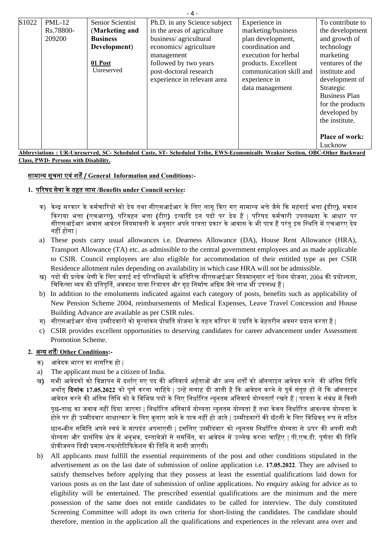| S1022 | $PML-12$                                                                                                                    | <b>Senior Scientist</b> | Ph.D. in any Science subject | Experience in           | To contribute to      |
|-------|-----------------------------------------------------------------------------------------------------------------------------|-------------------------|------------------------------|-------------------------|-----------------------|
|       | Rs.78800-                                                                                                                   | (Marketing and          | in the areas of agriculture  | marketing/business      | the development       |
|       | 209200                                                                                                                      | <b>Business</b>         | business/agricultural        | plan development,       | and growth of         |
|       |                                                                                                                             | Development)            | economics/ agriculture       | coordination and        | technology            |
|       |                                                                                                                             |                         | management                   | execution for herbal    | marketing             |
|       |                                                                                                                             | 01 Post                 | followed by two years        | products. Excellent     | ventures of the       |
|       |                                                                                                                             | Unreserved              | post-doctoral research       | communication skill and | institute and         |
|       |                                                                                                                             |                         | experience in relevant area  | experience in           | development of        |
|       |                                                                                                                             |                         |                              | data management         | Strategic             |
|       |                                                                                                                             |                         |                              |                         | <b>Business Plan</b>  |
|       |                                                                                                                             |                         |                              |                         | for the products      |
|       |                                                                                                                             |                         |                              |                         | developed by          |
|       |                                                                                                                             |                         |                              |                         | the institute.        |
|       |                                                                                                                             |                         |                              |                         |                       |
|       |                                                                                                                             |                         |                              |                         | <b>Place of work:</b> |
|       |                                                                                                                             |                         |                              |                         | Lucknow               |
|       | Abbreviations: UR-Unreserved, SC- Scheduled Caste, ST- Scheduled Tribe, EWS-Economically Weaker Section, OBC-Other Backward |                         |                              |                         |                       |

**Class, PWD- Persons with Disability.** 

#### सामान्य सचना एव ू शत ं ᱸ**/ General Information and Conditions:-**

## **1.** पिरषद सवा क े े तहत लाभ **/Benefits under Council service:**

- क) केन्द्र सरकार के कर्मचारियों को देय तथा सीएसआईआर के लिए लागू किए गए सामान्य भत्ते जैसे कि महंगाई भत्ता **(डीए), मकान** िकराया भᱫा **(**एचआरए**)**, पिरवहन भᱫा **(**टीए**)** इत्यािद इन पदᲂ पर दय ह े ᱹ| पिरषद कमर्चारी उपलब्धता के आधार पर सीएसआईआर आवास आवंटन नियमावली के अनुसार अपने पात्रता प्रकार के आवास के भी पात्र हैं परंतु इस स्थिति में एचआरए देय नहीं होगा ।
- a) These posts carry usual allowances i.e. Dearness Allowance (DA), House Rent Allowance (HRA), Transport Allowance (TA) etc. as admissible to the central government employees and as made applicable to CSIR. Council employees are also eligible for accommodation of their entitled type as per CSIR Residence allotment rules depending on availability in which case HRA will not be admissible.
- ख) पदों की प्रत्येक श्रेणी के लिए बताई गई परिलब्धियों के अतिरिक्त सीएसआईआर नियमानुसार नई पेंशन योजना, 2004 की प्रयोज्यता, चिकित्सा व्यय की प्रतिपूर्ति, अवकाश यात्रा रियायत और गृह निर्माण अग्रिम जैसे लाभ भी उपलब्ध हैं |
- b) In addition to the emoluments indicated against each category of posts, benefits such as applicability of New Pension Scheme 2004, reimbursements of Medical Expenses, Leave Travel Concession and House Building Advance are available as per CSIR rules.
- ग) सीएसआईआर योग्य उम्मीदवारों को मूल्यांकन प्रोन्नति योजना के तहत करियर में उन्नति के बेहतरीन अवसर प्रदान करता है |
- c) CSIR provides excellent opportunities to deserving candidates for career advancement under Assessment Promotion Scheme.

#### **2.** अन्य शत**/ Other Conditions:-** ᱸ

- क) आवेदक भारत का नागिरक हो |
- a) The applicant must be a citizen of India.
- ख) सभी आवेदकों को विज्ञापन में दर्शाए गए पद की अनिवार्य अहताओं और अन्य शर्तों को ऑनलाइन आवेदन करने की अंतिम तिथि अर्थात् **दिनांक 17.05.2022** को पूर्ण करना चाहिये | उन्हें सलाह दी जाती है कि आवेदन करने से पुर्व संतुष्ट हों लें कि ऑनलाइन आवेदन करने की अंतिम तिथि को वे विभिन्न पदों के लिए निर्धारित न्यूनतम अनिवार्य योग्यताएँ रखते हैं | पात्रता के संबंध में किसी पूछ-ताछ का जवाब नहीं दिया जाएगा | निर्धारित अनिवार्य योग्यता न्यूनतम योग्यता है तथा केवल निर्धारित आवश्यक योग्यता के होने पर ही उम्मीदवार साक्षात्कार के लिए बुलाए जाने के पात्र नहीं हो जाते | उम्मीदवारों की छँटनी के लिए विधिवत् रूप से गठित छान-बीन समिति अपने स्वयं के मापदंड अपनाएगी | इसलिए उम्मीदवार को न्युनतम निर्धारित योग्यता से ऊपर की अपनी सभी योग्यता और प्रासंगिक क्षेत्र में अनुभव, दस्तावेज़ों से समर्थित, का आवेदन में उल्लेख करना चाहिए | पी.एच.डी. पर्णता की तिथि प्रोवीजनल डिग्री प्रमाण-पत्र/नोटिफिकेशन की तिथि से मानी जाएगी।
- b) All applicants must fulfill the essential requirements of the post and other conditions stipulated in the advertisement as on the last date of submission of online application i.e. **17.05.2022**. They are advised to satisfy themselves before applying that they possess at least the essential qualifications laid down for various posts as on the last date of submission of online applications. No enquiry asking for advice as to eligibility will be entertained. The prescribed essential qualifications are the minimum and the mere possession of the same does not entitle candidates to be called for interview. The duly constituted Screening Committee will adopt its own criteria for short-listing the candidates. The candidate should therefore, mention in the application all the qualifications and experiences in the relevant area over and

 $-1$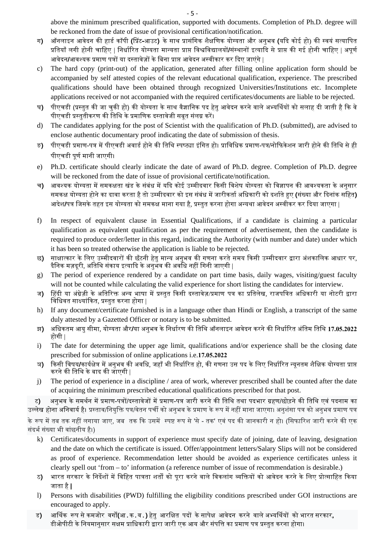above the minimum prescribed qualification, supported with documents. Completion of Ph.D. degree will be reckoned from the date of issue of provisional certification/notification.

- ग**)** ऑनलाइन आवेदन की हाडर् कॉपी **(**िपर्ट**-**आउट**)** के साथ पर्ासंिगक शैक्षिणक योग्यता और अनुभव **(**यिद कोई हो) की स्वयं सत्यािपत प्रतियाँ लगी होनी चाहिए | निर्धारित योग्यता मान्यता प्राप्त विश्वविद्यालयों**/**संस्थानों इत्यादि से प्राप्त की गई होनी चाहिए | अपूर्ण आवेदन**/**आवश्यक प्रमाण पत्रों या दस्तावेज़ों के बिना प्राप्त आवेदन अस्वीकार कर दिए जाएंगे |
- c) The hard copy (print-out) of the application, generated after filling online application form should be accompanied by self attested copies of the relevant educational qualification, experience. The prescribed qualifications should have been obtained through recognized Universities/Institutions etc. Incomplete applications received or not accompanied with the required certificates/documents are liable to be rejected.
- घ**)** पीएचडी (प्रस्तत की जा चकी हो) की योग्यता के साथ वैज्ञानिक पद हेत आवेदन करने वाले अभ्यर्थियों को सलाह दी जाती है कि वे पीएचडी प्रस्तुतीकरण की तिथि के प्रमाणिक दस्तावेजी सबत संलग्न करें।
- d) The candidates applying for the post of Scientist with the qualification of Ph.D. (submitted), are advised to enclose authentic documentary proof indicating the date of submission of thesis.
- ङ) पीएचडी प्रमाण-पत्र में पीएचडी अवार्ड होने की तिथि स्पष्ट्या इंगित हो। प्राविधिक प्रमाण-पत्र/नोफिकेशन जारी होने की तिथि से ही पीएचडी पूर्ण मानी जाएगी।
- e) Ph.D. certificate should clearly indicate the date of award of Ph.D. degree. Completion of Ph.D. degree will be reckoned from the date of issue of provisional certificate/notification.
- च) आवश्यक योग्यता में समकक्षता खंड के संबंध में यदि कोई उम्मीदवार किसी विशेष योग्यता को विज्ञापन की आवश्यकता के अनुसार समकक्ष योग्यता होने का दावा करता है तो उम्मीदवार को इस संबंध में जारीकर्ता अधिकारी को दर्शाते हुए **(**संख्या और दिनांक सहित**)** आदशे **/**पतर् िजसके तहत इस योग्यता को समकक्ष माना गया ह,ै पर्स्तुत करना होगा अन्यथा आवेदन अस्वीकर कर िदया जाएगा |
- f) In respect of equivalent clause in Essential Qualifications, if a candidate is claiming a particular qualification as equivalent qualification as per the requirement of advertisement, then the candidate is required to produce order/letter in this regard, indicating the Authority (with number and date) under which it has been so treated otherwise the application is liable to be rejected.
- छ) साक्षात्कार के लिए उम्मीदवारों की छँटनी हेत मान्य अनुभव की गणना करते समय किसी उम्मीदवार द्वारा अंशकालिक आधार पर, दैनिक मज़दरी. अतिथि संकाय इत्यादि के अनभव की अवधि नहीं गिनी जाएगी |
- g) The period of experience rendered by a candidate on part time basis, daily wages, visiting/guest faculty will not be counted while calculating the valid experience for short listing the candidates for interview.
- ज) हिंदी या अंग्रेज़ी के अतिरिक्त अन्य भाषा में प्रस्तुत किसी दस्तावेज़/प्रमाण पत्र का प्रतिलेख, राजपत्रित अधिकारी या नोटरी द्वारा विधिवत साक्ष्यांकित, प्रस्तत करना होगा |
- h) If any document/certificate furnished is in a language other than Hindi or English, a transcript of the same duly attested by a Gazetted Officer or notary is to be submitted.
- झ) अधिकतम आयु सीमा, योग्यता और/या अनुभव के निर्धारण की तिथि ऑनलाइन आवेदन करने की निर्धारित अंतिम तिथि 17.05.2022 होगी |
- i) The date for determining the upper age limit, qualifications and/or experience shall be the closing date prescribed for submission of online applications i.e.**17.05.2022**
- ञ) किसी विषय**/**कार्यक्षेत्र में अनुभव की अवधि, जहाँ भी निर्धारित हो, की गणना उस पद के लिए निर्धारित न्यूनतम शैक्षिक योग्यता प्राप्त करने की ितिथ के बाद की जाएगी |
- j) The period of experience in a discipline / area of work, wherever prescribed shall be counted after the date of acquiring the minimum prescribed educational qualifications prescribed for that post.

ट) अनुभव के समर्थन में प्रमाण-पत्रों/दस्तावेजों में प्रमाण-पत्र जारी करने की तिथि तथा पदभार ग्रहण/छोड़ने की तिथि एवं पदनाम का उल्लेख होना अनिवार्य है। प्रस्ताव/नियुक्ति पत्र/वेतन पर्ची को अनुभव के प्रमाण के रूप में नहीं माना जाएगा। अनुशंसा पत्र को अनुभव प्रमाण पत्र के रूप में तब तक नहीं लगाया जाए, जब तक कि उसमें स्पष्ट रूप से 'से - तक' एवं पद की जानकारी न हो। (सिफारिश जारी करने की एक

संदर्भ संख्या भी वांछनीय है।)

- k) Certificates/documents in support of experience must specify date of joining, date of leaving, designation and the date on which the certificate is issued. Offer/appointment letters/Salary Slips will not be considered as proof of experience. Recommendation letter should be avoided as experience certificates unless it clearly spell out 'from – to' information (a reference number of issue of recommendation is desirable.)
- ठ**) भारत सरकार के निर्देशों में विहित** पात्रता शर्तों को पुरा करने वाले विकलांग व्यक्तियों को आवेदन करने के लिए प्रोत्साहित किया जाता है**|**
- l) Persons with disabilities (PWD) fulfilling the eligibility conditions prescribed under GOI instructions are encouraged to apply.
- ड) अार्थिक रूप से कमजोर वर्गों**(आ.क.व.) हेतु आरक्षित पदों के सापेक्ष आ**वेदन करने वाले अभ्यर्थियों को भारत सरकार, डीओपीटी के नियमानसार सक्षम प्राधिकारी द्वारा जारी एक आय और संपत्ति का प्रमाण पत्र प्रस्तत करना होगा।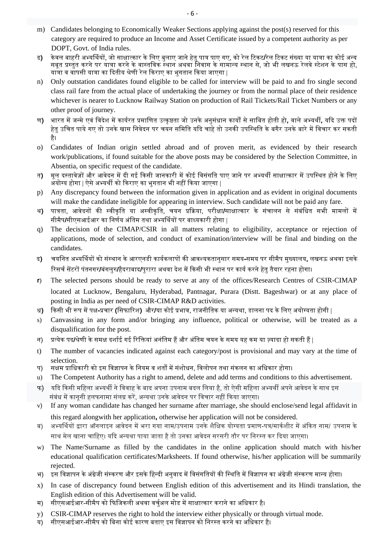- m) Candidates belonging to Economically Weaker Sections applying against the post(s) reserved for this category are required to produce an Income and Asset Certificate issued by a competent authority as per DOPT, Govt. of India rules.
- ढ**)** केवल बाहरी अभ्यर्थियों, जो साक्षात्कार के लिए बुलाए जाने हेतु पात्र पाए गए, को रेल टिकट/रेल टिकट संख्या या यात्रा का कोई अन्य सबूत पर्स्तुत करने पर यातर्ा करने के वास्तिवक स्थान अथवा िनवास के सामान्य स्थान से, जो भी लखनऊ रेलवे स्टेशन के पास हो, यात्रा व वापसी यात्रा का दितीय श्रेणी रेल किराए का भगतान किया जाएगा |
- n) Only outstation candidates found eligible to be called for interview will be paid to and fro single second class rail fare from the actual place of undertaking the journey or from the normal place of their residence whichever is nearer to Lucknow Railway Station on production of Rail Tickets/Rail Ticket Numbers or any other proof of journey.
- ण**)** भारत में जन्मे एवं विदेश में कार्यरत प्रमाणित उत्कष्ठता जो उनके अनसंधान कार्यों से साबित होती हो, वाले अभ्यर्थी, यदि उक्त पदों हेत उचित पाये गए तो उनके खास निवेदन पर चयन समिति यदि चाहे तो उनकी उपस्थिति के बगैर उनके बारे में विचार कर सकती ह। ै
- o) Candidates of Indian origin settled abroad and of proven merit, as evidenced by their research work/publications, if found suitable for the above posts may be considered by the Selection Committee, in Absentia, on specific request of the candidate.
- त) मल दस्तावेजों और आवेदन में दी गई किसी जानकारी में कोई विसंगति पाए जाने पर अभ्यर्थी साक्षात्कार में उपस्थित होने के लिए अयोग्य होगा | ऐसे अभ्यर्थी को किराए का भुगतान भी नहीं किया जाएगा |
- p) Any discrepancy found between the information given in application and as evident in original documents will make the candidate ineligible for appearing in interview. Such candidate will not be paid any fare.
- थ**)** पात्रता, आवेदनों की स्वीकति या अस्वीकति, चयन प्रक्रिया, परीक्षा/साक्षात्कार के संचालन से संबंधित सभी मामलों में सीमैप**/**सीएसआईआर का निर्णय अंतिम तथा अभ्यर्थियों पर बाध्यकारी होगा |
- q) The decision of the CIMAP/CSIR in all matters relating to eligibility, acceptance or rejection of applications, mode of selection, and conduct of examination/interview will be final and binding on the candidates.
- द**)** चयिनत अभ्यिथयᲂ को संस्थान के आरएनडी कायर्कलापᲂ की आवश्यकतानुसार समय**-**समय पर सीमैप मुख्यालय**,** लखनऊ अथवा इसके रिसर्च सेंटरों पंतनगर**/बंगलुर/हैदराबाद/परारा अथवा देश में किसी भी स्थान पर कार्य करने हेत तैयार रहना होगा।**
- **r**) The selected persons should be ready to serve at any of the offices/Research Centres of CSIR-CIMAP located at Lucknow, Bengaluru, Hyderabad, Pantnagar, Purara (Distt. Bageshwar) or at any place of posting in India as per need of CSIR-CIMAP R&D activities.
- ध**)** िकसी भी रूप मᱶ पक्ष**-**पर्चार **(**िसफािरश**)** और**/**या कोई पर्भाव, राजनीितक या अन्यथा, डालना पद के िलए अयोग्यता होगी |
- s) Canvassing in any form and/or bringing any influence, political or otherwise, will be treated as a disqualification for the post.
- न) प्रत्येक पद**/श्रेणी के समक्ष दर्शाई गई रिक्तियां अनं**तिम हैं और अंतिम चयन के समय यह कम या ज़्यादा हो सकती हैं |
- t) The number of vacancies indicated against each category/post is provisional and may vary at the time of selection.
- प) सक्षम प्राधिकारी को इस विज्ञापन के नियम व शर्तों में संशोधन, विलोपन तथा संकलन का अधिकार होगा।
- u) The Competent Authority has a right to amend, delete and add terms and conditions to this advertisement.
- फ) यदि किसी महिला अभ्यर्थी ने विवाह के बाद अपना उपनाम बदल लिया है. तो ऐसी महिला अभ्यर्थी अपने आवेदन के साथ इस संबंध में काननी हलफनामा संलग्न करें. अन्यथा उनके आवेदन पर विचार नहीं किया जाएगा।
- v) If any woman candidate has changed her surname after marriage, she should enclose/send legal affidavit in this regard alongwith her application**,** otherwise her application will not be considered.
- ब) अभ्यर्थियों द्वारा ऑनलाइन आवेदन में भरा गया नाम/उपनाम उनके शैक्षिक योग्यता प्रमाण-पत्र/मार्कशीट में अंकित नाम/ उपनाम के साथ मेल खाना चाहिए। यदि अन्यथा पाया जाता है तो उनका आवेदन सरसरी तौर पर निरस्त कर दिया जाएगा।
- w) The Name/Surname as filled by the candidates in the online application should match with his/her educational qualification certificates/Marksheets. If found otherwise, his/her application will be summarily rejected.
- भ) इस विज्ञापन के अंग्रेजी संस्करण और इसके हिन्दी अनुवाद में विसंगतियों की स्थिति में विज्ञापन का अंग्रेजी संस्करण मान्य होगा।
- x) In case of discrepancy found between English edition of this advertisement and its Hindi translation, the English edition of this Advertisement will be valid.
- म) सीएसआईआर-सीमैप को फिजिकली अथवा वर्चअल मोड में साक्षात्कार कराने का अधिकार है।
- y) CSIR-CIMAP reserves the right to hold the interview either physically or through virtual mode.
- य) सीएसआईआर-सीमैप को बिना कोई कारण बताए इस विज्ञापन को निरस्त करने का अधिकार है।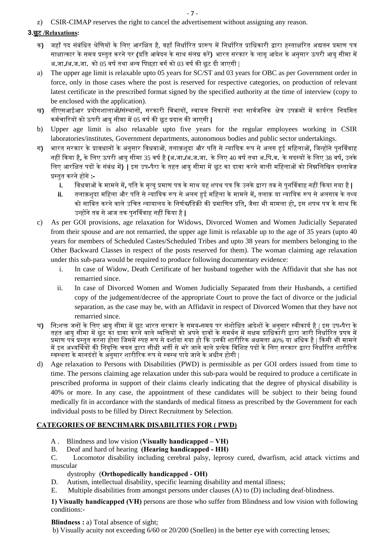z) CSIR-CIMAP reserves the right to cancel the advertisement without assigning any reason.

## **3.**छूट **/Relaxations:**

- क) जहाँ पद संबंधित श्रेणियों के लिए आरक्षित है. वहाँ निर्धारित प्रारूप में निर्धारित प्राधिकारी द्वारा हस्ताक्षरित अद्यतन प्रमाण पत्र साक्षात्कार के समय प्रस्तत करने पर **(**प्रति आवेदन के साथ संलग्न करें) भारत सरकार के लाग आदेश के अनसार ऊपरी आय सीमा में अ**.**जा**./**अ**.**ज**.**जा**.** को 05 वषर् तथा अन्य िपछड़ा वगर् को 03 वषर् की छूट दी जाएगी |
- a) The upper age limit is relaxable upto 05 years for SC/ST and 03 years for OBC as per Government order in force, only in those cases where the post is reserved for respective categories, on production of relevant latest certificate in the prescribed format signed by the specified authority at the time of interview (copy to be enclosed with the application).
- ख) सीएसआईआर प्रयोगशालाओं/संस्थानों, सरकारी विभागों, स्वायत्त निकायों तथा सार्वजनिक क्षेत्र उपक्रमों में कार्यरत नियमित कमर्चािरयᲂ को ऊपरी आयु सीमा मᱶ05 वषर् की छूट पर्दान की जाएगी **|**
- b) Upper age limit is also relaxable upto five years for the regular employees working in CSIR laboratories/institutes, Government departments, autonomous bodies and public sector undertakings.
- ग) भारत सरकार के प्रावधानों के अनुसार विधवाओं, तलाक़शुदा और पति से न्यायिक रूप से अलग हुई महिलाओं, जिन्होंने पुनर्विवाह नहᱭ िकया ह**,**ै के िलए ऊपरी आयु सीमा 35 वषर् है**(**अ**.**जा**./**अ**.**ज**.**जा**.** के िलए 40 वषर् तथा अ**.**िप**.**व**.** के सदस्यᲂ के िलए 38 वष**,**र् उनके लिए आरक्षित पदों के संबंध में**) |** इस उप-पैरा के तहत आय सीमा में छूट का दावा करने वाली महिलाओं को निम्नलिखित दस्तावेज़ पर्स्तुत करने हᲂगे**:** 
	- **i.** िवधवाᲐ के मामले म**,**ᱶ पित के मृत्यु पर्माण पतर् के साथ यह शपथ पतर् िक उनके ᳇ारा तब से पुनिववाह नहᱭ िकया गया है**|**
	- **ii.** तलाक़शुदा मिहला और पित से न्याियक रूप से अलग हुई मिहला के मामले म**,**ᱶ तलाक़ या न्याियक रूप से अलगाव के तथ्य को सािबत करन वाल े े उिचत न्यायालय के िनणर्य**/**िडकर्ी की पर्मािणत पर्ित**,** जैसा भी मामला हो**,** इस शपथ पतर् के साथ िक उन्हᲂने तब से आज तक पुनिववाह नहᱭ िकया है**|**
- c) As per GOI provisions, age relaxation for Widows, Divorced Women and Women Judicially Separated from their spouse and are not remarried, the upper age limit is relaxable up to the age of 35 years (upto 40 years for members of Scheduled Castes/Scheduled Tribes and upto 38 years for members belonging to the Other Backward Classes in respect of the posts reserved for them). The woman claiming age relaxation under this sub-para would be required to produce following documentary evidence:
	- i. In case of Widow, Death Certificate of her husband together with the Affidavit that she has not remarried since.
	- ii. In case of Divorced Women and Women Judicially Separated from their Husbands, a certified copy of the judgement/decree of the appropriate Court to prove the fact of divorce or the judicial separation, as the case may be, with an Affidavit in respect of Divorced Women that they have not remarried since.
- घ**) नि:**शक्त जनों के लिए आयु सीमा में छूट भारत सरकार के समय-समय पर संशोधित आदेशों के अनुसार स्वीकार्य है | इस उप-पैरा के तहत आयु सीमा में छूट का दावा करने वाले व्यक्तियों को अपने दावों के समर्थन में सक्षम प्राधिकारी द्वारा जारी निर्धारित प्रपत्र में प्रमाण पत्र प्रस्तुत करना होगा जिसमें स्पष्ट रूप से दर्शाया गया हो कि उनकी शारीरिक अक्षमता 40% या अधिक है | किसी भी मामले में इन अभ्यर्थियों की नियुक्ति चयन द्वारा सीधी भर्ती से भरे जाने वाले प्रत्येक विशिष्ट पदों के लिए सरकार द्वारा निर्धारित शारीरिक स्वस्थता के मानदंडों के अनुसार शारीरिक रूप से स्वस्थ पाये जाने के अधीन होगी |
- d) Age relaxation to Persons with Disabilities (PWD) is permissible as per GOI orders issued from time to time. The persons claiming age relaxation under this sub-para would be required to produce a certificate in prescribed proforma in support of their claims clearly indicating that the degree of physical disability is 40% or more. In any case, the appointment of these candidates will be subject to their being found medically fit in accordance with the standards of medical fitness as prescribed by the Government for each individual posts to be filled by Direct Recruitment by Selection.

## **CATEGORIES OF BENCHMARK DISABILITIES FOR ( PWD)**

- A . Blindness and low vision (**Visually handicapped VH)**
- B. Deaf and hard of hearing **(Hearing handicapped HH)**
- C. Locomotor disability including cerebral palsy, leprosy cured, dwarfism, acid attack victims and muscular

#### dystrophy (**Orthopedically handicapped - OH)**

- D. Autism, intellectual disability, specific learning disability and mental illness;
- E. Multiple disabilities from amongst persons under clauses (A) to (D) including deaf-blindness.

**1) Visually handicapped (VH)** persons are those who suffer from Blindness and low vision with following conditions:-

#### **Blindness : a)** Total absence of sight;

b) Visually acuity not exceeding 6/60 or 20/200 (Snellen) in the better eye with correcting lenses;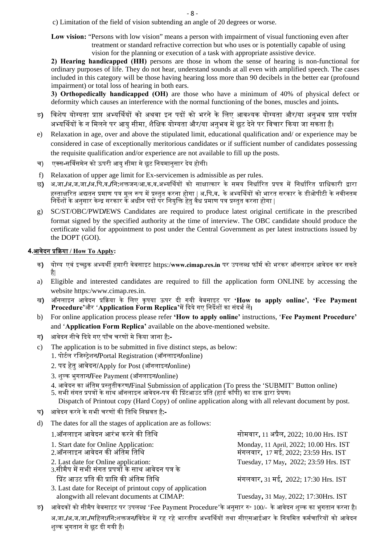- c) Limitation of the field of vision subtending an angle of 20 degrees or worse.
- **Low vision:** "Persons with low vision" means a person with impairment of visual functioning even after treatment or standard refractive correction but who uses or is potentially capable of using vision for the planning or execution of a task with appropriate assistive device.

**2) Hearing handicapped (HH)** persons are those in whom the sense of hearing is non-functional for ordinary purposes of life. They do not hear, understand sounds at all even with amplified speech. The cases included in this category will be those having hearing loss more than 90 decibels in the better ear (profound impairment) or total loss of hearing in both ears.

**3) Orthopedically handicapped (OH)** are those who have a minimum of 40% of physical defect or deformity which causes an interference with the normal functioning of the bones, muscles and joints**.** 

- ङ) विशेष योग्यता प्राप्त अभ्यर्थियों को अथवा इन पदों को भरने के लिए आवश्यक योग्यता और/या अनुभव प्राप्त पर्याप्त अभ्यर्थियों के न मिलने पर आयु सीमा, शैक्षिक योग्यता और/या अनुभव में छूट देने पर विचार किया जा सकता है।
- e) Relaxation in age, over and above the stipulated limit, educational qualification and/ or experience may be considered in case of exceptionally meritorious candidates or if sufficient number of candidates possessing the requisite qualification and/or experience are not available to fill up the posts.
- च) एक्स**-**सिवसमेन को ऊपरी आयु सीमा मे छूट िनयमानुसार दय होगी। े
- f) Relaxation of upper age limit for Ex-servicemen is admissible as per rules.
- छ**)** अ**.**जा**./**अ**.**ज**.**जा**./**अ**.**िप**.**व**./**िन**:**शक्तजन/आ**.**क**.**व**.**अभ्यिथयᲂ को साक्षात्कार के समय िनधार्िरत पर्पतर् मᱶ िनधार्िरत पर्ािधकारी ᳇ारा हस्ताक्षरित अद्यतन प्रमाण पत्र मूल रूप में प्रस्तुत करना होगा | अ.पि.व. के अभ्यर्थियों को भारत सरकार के डीओपीटी के नवीनतम ्<br>निर्देशों के अनुसार केन्द्र सरकार के अधीन पदों पर नियुक्ति हेतु वैध प्रमाण पत्र प्रस्तुत करना होगा |
- g) SC/ST/OBC/PWD**/**EWS Candidates are required to produce latest original certificate in the prescribed format signed by the specified authority at the time of interview. The OBC candidate should produce the certificate valid for appointment to post under the Central Government as per latest instructions issued by the DOPT (GOI).

#### **4.**आवदन पर्िकर्या े **/ How To Apply:**

- क**)** योग्य एवं इच्छुक अभ्यथᱮ हमारी वेबसाइट https:/**www.cimap.res.in** पर उपलब्ध फॉमर् को भरकर ऑनलाइन आवेदन कर सकते है।
- a) Eligible and interested candidates are required to fill the application form ONLINE by accessing the website https:/www.cimap.res.in.
- ख**)** ऑनलाइन आवदन पर्िकर्या क े े िलए कृपया ऊपर दी गयी वबसाइट पर े **'How to apply online', 'Fee Payment**  Procedure'और 'Application Form Replica'में दिये गए निर्देशों का संदर्भ लें।
- b) For online application process please refer **'How to apply online'** instructions, '**Fee Payment Procedure'** and '**Application Form Replica'** available on the above-mentioned website.
- ग**)** आवेदन नीचे िदये गए पाँच चरणᲂ मे िकया जाना ह**:-** ै
- c) The application is to be submitted in five distinct steps, as below:
	- 1. पोटर्ल रिजस्टर्ेशन**/**Portal Registration (ऑनलाइन**/**online)
		- 2. पद हते ु आवेदन/Apply for Post (ऑनलाइन**/**online)
		- 3. शुल्क भुगतान**/**Fee Payment (ऑनलाइन**/**online)
		- 4. आवेदन का अितम पर्स्त ं ुतीकरण**/**Final Submission of application (To press the 'SUBMIT' Button online)
		- 5. सभी संगत प्रपत्रों के साथ ऑनलाइन आवेदन-पत्र की प्रिंटआउट प्रति (हार्ड कॉपी) का डाक द्वारा प्रेषण।

Dispatch of Printout copy (Hard Copy) of online application along with all relevant document by post.

- घ) अावेदन करने के सभी चरणों की तिथि निम्नवत है**:-**
- d) The dates for all the stages of application are as follows:

| सोमवार, 11 अप्रैल, 2022; 10.00 Hrs. IST                                        |
|--------------------------------------------------------------------------------|
| Monday, 11 April, 2022; 10.00 Hrs. IST<br>मंगलवार, 17 मई, 2022; 23:59 Hrs. IST |
| Tuesday, 17 May, 2022; 23:59 Hrs. IST                                          |
| मंगलवार, 31 मई, 2022; 17:30 Hrs. IST                                           |
|                                                                                |
|                                                                                |

- alongwith all relevant documents at CIMAP: Tuesday**,** 31 May, 2022; 17:30Hrs. IST
	-
- ङ) अावेदकों को सीमैप वेबसाइट पर उपलब्ध 'Fee Payment Procedure'के अनुसार रु॰ 100/- के आवेदन शुल्क का भगतान करना है। अ.जा**./अ.ज.जा./महिला/नि:शक्तजन/विदेश में रह रहे भारतीय अभ्यर्थियों तथा सीएसआईआर के नियमित कर्मचारियों को आवेदन** शल्क भगतान से छूट दी गयी है।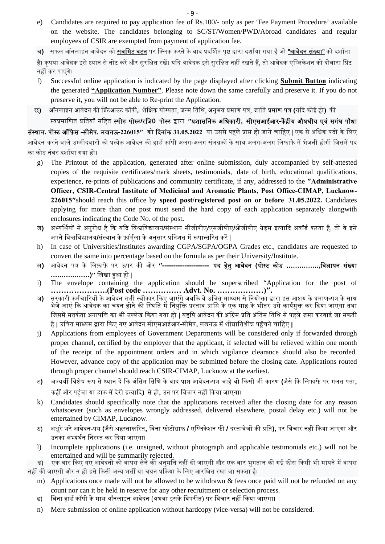- e) Candidates are required to pay application fee of Rs.100/- only as per 'Fee Payment Procedure' available on the website. The candidates belonging to SC/ST/Women/PWD/Abroad candidates and regular employees of CSIR are exempted from payment of application fee.
- च) सफल ऑनलाइन आवेदन को **सबमिट बटन** पर क्लिक करने के बाद प्रदर्शित पृष्ठ द्वारा दर्शाया गया है जो **"आवेदन संख्या"** को दर्शाता

है। कपया आवेदक इसे ध्यान से नोट करें और सरक्षित रखें। यदि आवेदक इसे सरक्षित नहीं रखते हैं. तो आवेदक एप्लिकेशन को दोबारा प्रिंट नहीं कर पाएंगे।

- f) Successful online application is indicated by the page displayed after clicking **Submit Button** indicating the generated **"Application Number"**. Please note down the same carefully and preserve it. If you do not preserve it, you will not be able to Re-print the Application.
- छ**)** ऑनलाइन आवेदन की िपर्टआउट कॉपी**,** शैिक्षक योग्यता, जन्म ितिथ, अनभव पर्माण पतर् ु , जाित पर्माण पतर् **(**यिद कोई हो**)** की

स्वप्रमाणित प्रतियाँ सहित स्पीड पोस्ट/रजि0 पोस्ट द्वारा "प्रशासनिक अधिकारी, सीएसआईआर-केंद्रीय औषधीय एवं सगंध पौधा **संस्थान, पोस्ट <b>ऑफ़िस -सीमैप, लखनऊ-**226015″ को **दिनांक 31.05.2022** या उससे पहले प्राप्त हो जाने चाहिए | एक से अधिक पदों के लिए आवेदन करने वाले उम्मीदवारों को प्रत्येक आवेदन की हार्ड कॉपी अलग-अलग संलग्नकों के साथ अलग-अलग लिफाफे में भेजनी होगी जिसमें पद का कोड नंबर दशार्या गया हो।

- g) The Printout of the application, generated after online submission, duly accompanied by self-attested copies of the requisite certificates/mark sheets, testimonials, date of birth, educational qualifications, experience, re-prints of publications and community certificate, if any, addressed to the **″Administrative Officer, CSIR-Central Institute of Medicinal and Aromatic Plants, Post Office-CIMAP, Lucknow-226015″**should reach this office by **speed post/registered post on or before 31.05.2022.** Candidates applying for more than one post must send the hard copy of each application separately alongwith enclosures indicating the Code No. of the post**.**
- ज) अभ्यर्थियों से अनुरोध है कि यदि विश्वविद्यालय**/**संस्थान सीजीपीए**/एसजीपीए/ओजीपीए ग्रेडस इत्यादि अवॉर्ड करता** है, तो वे इसे अपने विश्वविद्यालय**/**संस्थान के फ़ॉर्मुला के अनुसार प्रतिशत में रूपान्तरित करें |
- h) In case of Universities/Institutes awarding CGPA/SGPA/OGPA Grades etc., candidates are requested to convert the same into percentage based on the formula as per their University/Institute.
- झ) आवेदन पत्र के लिफ़ाफ़े पर ऊपर की ओर **″--------------------- पद हेत् आवेदन (पोस्ट कोड <b>……………..विज्ञापन संख्या ………………)″** िलखा हुआ हो |
- i) The envelope containing the application should be superscribed "Application for the post of **………………….(Post code …………… Advt. No. ………………)″.**
- ञ**)** सरकारी कमर्चािरयᲂ के आवेदन तभी स्वीकार िकए जाएंगे जबिक वे उिचत माध्यम से िनयोक्ता ᳇ारा इस आशय के पर्माण**-**पतर् के साथ भेजे जाएं कि आवेदक का चयन होने की स्थिति में नियुक्ति प्रस्ताव प्राप्ति के एक माह के भीतर उसे कार्यमुक्त कर दिया जाएगा तथा जिसमें सतर्कता अनापत्ति का भी उल्लेख किया गया हो **|** यद्दपि आवेदन की अग्रिम प्रति अंतिम तिथि से पहले जमा करवाई जा सकती है**|** उिचत माध्यम ᳇ारा िकए गए आवेदन सीएसआईआर**-**सीमैप**,** लखनऊ मᱶ शीघर्ाितशीघर् पहुचनँ े चािहए **|**
- j) Applications from employees of Government Departments will be considered only if forwarded through proper channel, certified by the employer that the applicant, if selected will be relieved within one month of the receipt of the appointment orders and in which vigilance clearance should also be recorded. However, advance copy of the application may be submitted before the closing date. Applications routed through proper channel should reach CSIR-CIMAP, Lucknow at the earliest.
- ट) अभ्यर्थी विशेष रूप से ध्यान दें कि अंतिम तिथि के बाद प्राप्त आवेदन-पत्र चाहे वो किसी भी कारण (जैसे कि लिफाफे पर गलत पता**,** कहीं और पहुंचा या डाक में देरी इत्यादि**)** से हो, उन पर विचार नहीं किया जाएगा।
- k) Candidates should specifically note that the applications received after the closing date for any reason whatsoever (such as envelopes wrongly addressed, delivered elsewhere, postal delay etc.) will not be entertained by CIMAP, Lucknow.
- ठ) अधूरे भरे आवेदन**-**पतर् **(**जैसे अहस्ताक्षिरत**,** िबना फोटोगर्ाफ **/** एिप्लकेशन फी **/** दस्तावेजᲂ की पर्ित**),** पर िवचार नहᱭ िकया जाएगा और उनका अभ्यथर्न िनरस्त कर िदया जाएगा।
- l) Incomplete applications (i.e. unsigned, without photograph and applicable testimonials etc.) will not be entertained and will be summarily rejected.

ड) एक बार किए गए आवेदनों को वापस लेने की अनुमति नहीं दी जाएगी और एक बार भुगतान की गई फीस किसी भी मायने में वापस नहीं की जाएगी और न ही इसे किसी अन्य भर्ती या चयन प्रक्रिया के लिए आरक्षित रखा जा सकता है।

- m) Applications once made will not be allowed to be withdrawn  $\&$  fees once paid will not be refunded on any count nor can it be held in reserve for any other recruitment or selection process.
- ढ) िबना हाड कॉपी क र् े मातर् ऑनलाइन आवेदन (अथवा इसके िवपरीत) पर िवचार नहᱭ िकया जाएगा।
- n) Mere submission of online application without hardcopy (vice-versa) will not be considered.